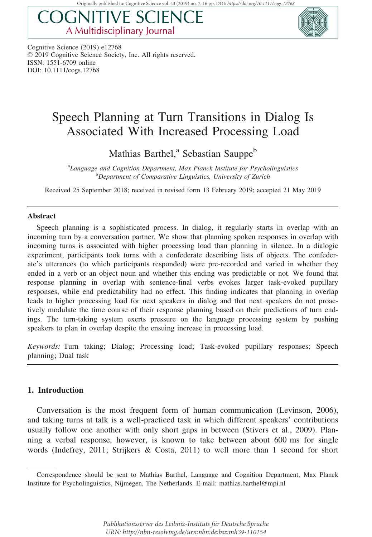# **COGNITIVE SCIENCE** A Multidisciplinary Journal



Cognitive Science (2019) e12768 © 2019 Cognitive Science Society, Inc. All rights reserved. ISSN: 1551-6709 online DOI: 10.1111/cogs.12768

# Speech Planning at Turn Transitions in Dialog Is Associated With Increased Processing Load

Mathias Barthel,<sup>a</sup> Sebastian Sauppe<sup>b</sup>

<sup>a</sup> Language and Cognition Department, Max Planck Institute for Psycholinguistics<br>b Department of Comparative Linguistics University of Zurich <sup>b</sup>Department of Comparative Linguistics, University of Zurich

Received 25 September 2018; received in revised form 13 February 2019; accepted 21 May 2019

# Abstract

Speech planning is a sophisticated process. In dialog, it regularly starts in overlap with an incoming turn by a conversation partner. We show that planning spoken responses in overlap with incoming turns is associated with higher processing load than planning in silence. In a dialogic experiment, participants took turns with a confederate describing lists of objects. The confederate's utterances (to which participants responded) were pre-recorded and varied in whether they ended in a verb or an object noun and whether this ending was predictable or not. We found that response planning in overlap with sentence-final verbs evokes larger task-evoked pupillary responses, while end predictability had no effect. This finding indicates that planning in overlap leads to higher processing load for next speakers in dialog and that next speakers do not proactively modulate the time course of their response planning based on their predictions of turn endings. The turn-taking system exerts pressure on the language processing system by pushing speakers to plan in overlap despite the ensuing increase in processing load.

Keywords: Turn taking; Dialog; Processing load; Task-evoked pupillary responses; Speech planning; Dual task

# 1. Introduction

Conversation is the most frequent form of human communication (Levinson, 2006), and taking turns at talk is a well-practiced task in which different speakers' contributions usually follow one another with only short gaps in between (Stivers et al., 2009). Planning a verbal response, however, is known to take between about 600 ms for single words (Indefrey, 2011; Strijkers & Costa, 2011) to well more than 1 second for short

Correspondence should be sent to Mathias Barthel, Language and Cognition Department, Max Planck Institute for Psycholinguistics, Nijmegen, The Netherlands. E-mail: [mathias.barthel@mpi.nl](mailto:)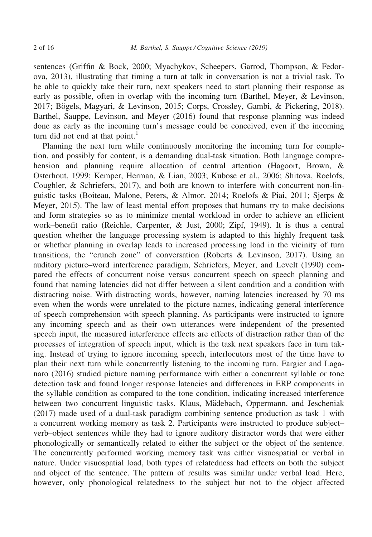sentences (Griffin & Bock, 2000; Myachykov, Scheepers, Garrod, Thompson, & Fedorova, 2013), illustrating that timing a turn at talk in conversation is not a trivial task. To be able to quickly take their turn, next speakers need to start planning their response as early as possible, often in overlap with the incoming turn (Barthel, Meyer, & Levinson, 2017; B€ogels, Magyari, & Levinson, 2015; Corps, Crossley, Gambi, & Pickering, 2018). Barthel, Sauppe, Levinson, and Meyer (2016) found that response planning was indeed done as early as the incoming turn's message could be conceived, even if the incoming turn did not end at that point.<sup>1</sup>

Planning the next turn while continuously monitoring the incoming turn for completion, and possibly for content, is a demanding dual-task situation. Both language comprehension and planning require allocation of central attention (Hagoort, Brown, & Osterhout, 1999; Kemper, Herman, & Lian, 2003; Kubose et al., 2006; Shitova, Roelofs, Coughler, & Schriefers, 2017), and both are known to interfere with concurrent non-linguistic tasks (Boiteau, Malone, Peters, & Almor, 2014; Roelofs & Piai, 2011; Sjerps & Meyer, 2015). The law of least mental effort proposes that humans try to make decisions and form strategies so as to minimize mental workload in order to achieve an efficient work–benefit ratio (Reichle, Carpenter, & Just, 2000; Zipf, 1949). It is thus a central question whether the language processing system is adapted to this highly frequent task or whether planning in overlap leads to increased processing load in the vicinity of turn transitions, the "crunch zone" of conversation (Roberts & Levinson, 2017). Using an auditory picture–word interference paradigm, Schriefers, Meyer, and Levelt (1990) compared the effects of concurrent noise versus concurrent speech on speech planning and found that naming latencies did not differ between a silent condition and a condition with distracting noise. With distracting words, however, naming latencies increased by 70 ms even when the words were unrelated to the picture names, indicating general interference of speech comprehension with speech planning. As participants were instructed to ignore any incoming speech and as their own utterances were independent of the presented speech input, the measured interference effects are effects of distraction rather than of the processes of integration of speech input, which is the task next speakers face in turn taking. Instead of trying to ignore incoming speech, interlocutors most of the time have to plan their next turn while concurrently listening to the incoming turn. Fargier and Laganaro (2016) studied picture naming performance with either a concurrent syllable or tone detection task and found longer response latencies and differences in ERP components in the syllable condition as compared to the tone condition, indicating increased interference between two concurrent linguistic tasks. Klaus, Mädebach, Oppermann, and Jescheniak (2017) made used of a dual-task paradigm combining sentence production as task 1 with a concurrent working memory as task 2. Participants were instructed to produce subject– verb–object sentences while they had to ignore auditory distractor words that were either phonologically or semantically related to either the subject or the object of the sentence. The concurrently performed working memory task was either visuospatial or verbal in nature. Under visuospatial load, both types of relatedness had effects on both the subject and object of the sentence. The pattern of results was similar under verbal load. Here, however, only phonological relatedness to the subject but not to the object affected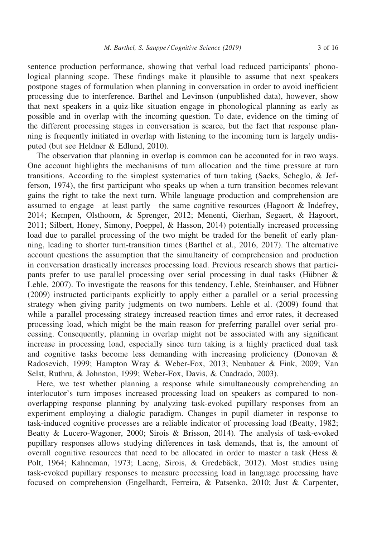sentence production performance, showing that verbal load reduced participants' phonological planning scope. These findings make it plausible to assume that next speakers postpone stages of formulation when planning in conversation in order to avoid inefficient processing due to interference. Barthel and Levinson (unpublished data), however, show that next speakers in a quiz-like situation engage in phonological planning as early as possible and in overlap with the incoming question. To date, evidence on the timing of the different processing stages in conversation is scarce, but the fact that response planning is frequently initiated in overlap with listening to the incoming turn is largely undisputed (but see Heldner & Edlund, 2010).

The observation that planning in overlap is common can be accounted for in two ways. One account highlights the mechanisms of turn allocation and the time pressure at turn transitions. According to the simplest systematics of turn taking (Sacks, Scheglo, & Jefferson, 1974), the first participant who speaks up when a turn transition becomes relevant gains the right to take the next turn. While language production and comprehension are assumed to engage—at least partly—the same cognitive resources (Hagoort & Indefrey, 2014; Kempen, Olsthoorn, & Sprenger, 2012; Menenti, Gierhan, Segaert, & Hagoort, 2011; Silbert, Honey, Simony, Poeppel, & Hasson, 2014) potentially increased processing load due to parallel processing of the two might be traded for the benefit of early planning, leading to shorter turn-transition times (Barthel et al., 2016, 2017). The alternative account questions the assumption that the simultaneity of comprehension and production in conversation drastically increases processing load. Previous research shows that participants prefer to use parallel processing over serial processing in dual tasks (Hübner  $\&$ Lehle, 2007). To investigate the reasons for this tendency, Lehle, Steinhauser, and Hübner (2009) instructed participants explicitly to apply either a parallel or a serial processing strategy when giving parity judgments on two numbers. Lehle et al. (2009) found that while a parallel processing strategy increased reaction times and error rates, it decreased processing load, which might be the main reason for preferring parallel over serial processing. Consequently, planning in overlap might not be associated with any significant increase in processing load, especially since turn taking is a highly practiced dual task and cognitive tasks become less demanding with increasing proficiency (Donovan & Radosevich, 1999; Hampton Wray & Weber-Fox, 2013; Neubauer & Fink, 2009; Van Selst, Ruthru, & Johnston, 1999; Weber-Fox, Davis, & Cuadrado, 2003).

Here, we test whether planning a response while simultaneously comprehending an interlocutor's turn imposes increased processing load on speakers as compared to nonoverlapping response planning by analyzing task-evoked pupillary responses from an experiment employing a dialogic paradigm. Changes in pupil diameter in response to task-induced cognitive processes are a reliable indicator of processing load (Beatty, 1982; Beatty & Lucero-Wagoner, 2000; Sirois & Brisson, 2014). The analysis of task-evoked pupillary responses allows studying differences in task demands, that is, the amount of overall cognitive resources that need to be allocated in order to master a task (Hess  $\&$ Polt, 1964; Kahneman, 1973; Laeng, Sirois, & Gredebäck, 2012). Most studies using task-evoked pupillary responses to measure processing load in language processing have focused on comprehension (Engelhardt, Ferreira, & Patsenko, 2010; Just & Carpenter,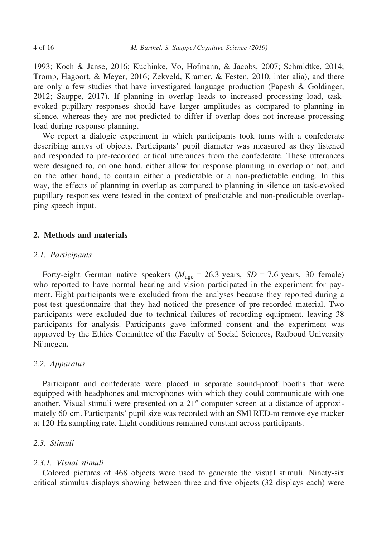1993; Koch & Janse, 2016; Kuchinke, Vo, Hofmann, & Jacobs, 2007; Schmidtke, 2014; Tromp, Hagoort, & Meyer, 2016; Zekveld, Kramer, & Festen, 2010, inter alia), and there are only a few studies that have investigated language production (Papesh & Goldinger, 2012; Sauppe, 2017). If planning in overlap leads to increased processing load, taskevoked pupillary responses should have larger amplitudes as compared to planning in silence, whereas they are not predicted to differ if overlap does not increase processing load during response planning.

We report a dialogic experiment in which participants took turns with a confederate describing arrays of objects. Participants' pupil diameter was measured as they listened and responded to pre-recorded critical utterances from the confederate. These utterances were designed to, on one hand, either allow for response planning in overlap or not, and on the other hand, to contain either a predictable or a non-predictable ending. In this way, the effects of planning in overlap as compared to planning in silence on task-evoked pupillary responses were tested in the context of predictable and non-predictable overlapping speech input.

# 2. Methods and materials

#### 2.1. Participants

Forty-eight German native speakers ( $M_{\text{age}} = 26.3$  years,  $SD = 7.6$  years, 30 female) who reported to have normal hearing and vision participated in the experiment for payment. Eight participants were excluded from the analyses because they reported during a post-test questionnaire that they had noticed the presence of pre-recorded material. Two participants were excluded due to technical failures of recording equipment, leaving 38 participants for analysis. Participants gave informed consent and the experiment was approved by the Ethics Committee of the Faculty of Social Sciences, Radboud University Nijmegen.

### 2.2. Apparatus

Participant and confederate were placed in separate sound-proof booths that were equipped with headphones and microphones with which they could communicate with one another. Visual stimuli were presented on a 21<sup>''</sup> computer screen at a distance of approximately 60 cm. Participants' pupil size was recorded with an SMI RED-m remote eye tracker at 120 Hz sampling rate. Light conditions remained constant across participants.

# 2.3. Stimuli

# 2.3.1. Visual stimuli

Colored pictures of 468 objects were used to generate the visual stimuli. Ninety-six critical stimulus displays showing between three and five objects (32 displays each) were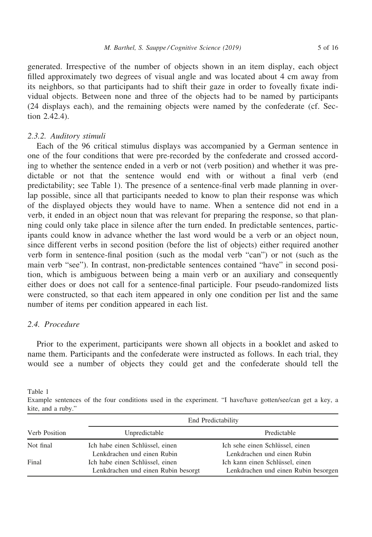generated. Irrespective of the number of objects shown in an item display, each object filled approximately two degrees of visual angle and was located about 4 cm away from its neighbors, so that participants had to shift their gaze in order to foveally fixate individual objects. Between none and three of the objects had to be named by participants (24 displays each), and the remaining objects were named by the confederate (cf. Section 2.42.4).

#### 2.3.2. Auditory stimuli

Each of the 96 critical stimulus displays was accompanied by a German sentence in one of the four conditions that were pre-recorded by the confederate and crossed according to whether the sentence ended in a verb or not (verb position) and whether it was predictable or not that the sentence would end with or without a final verb (end predictability; see Table 1). The presence of a sentence-final verb made planning in overlap possible, since all that participants needed to know to plan their response was which of the displayed objects they would have to name. When a sentence did not end in a verb, it ended in an object noun that was relevant for preparing the response, so that planning could only take place in silence after the turn ended. In predictable sentences, participants could know in advance whether the last word would be a verb or an object noun, since different verbs in second position (before the list of objects) either required another verb form in sentence-final position (such as the modal verb "can") or not (such as the main verb "see"). In contrast, non-predictable sentences contained "have" in second position, which is ambiguous between being a main verb or an auxiliary and consequently either does or does not call for a sentence-final participle. Four pseudo-randomized lists were constructed, so that each item appeared in only one condition per list and the same number of items per condition appeared in each list.

#### 2.4. Procedure

Prior to the experiment, participants were shown all objects in a booklet and asked to name them. Participants and the confederate were instructed as follows. In each trial, they would see a number of objects they could get and the confederate should tell the

Table 1

Example sentences of the four conditions used in the experiment. "I have/have gotten/see/can get a key, a kite, and a ruby."

|               |                                                                        | End Predictability                                                      |
|---------------|------------------------------------------------------------------------|-------------------------------------------------------------------------|
| Verb Position | Unpredictable                                                          | Predictable                                                             |
| Not final     | Ich habe einen Schlüssel, einen<br>Lenkdrachen und einen Rubin         | Ich sehe einen Schlüssel, einen<br>Lenkdrachen und einen Rubin          |
| Final         | Ich habe einen Schlüssel, einen<br>Lenkdrachen und einen Rubin besorgt | Ich kann einen Schlüssel, einen<br>Lenkdrachen und einen Rubin besorgen |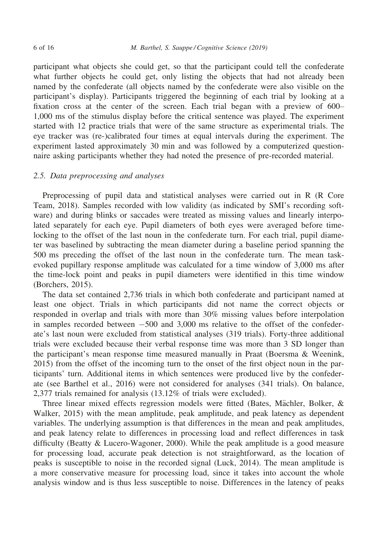participant what objects she could get, so that the participant could tell the confederate what further objects he could get, only listing the objects that had not already been named by the confederate (all objects named by the confederate were also visible on the participant's display). Participants triggered the beginning of each trial by looking at a fixation cross at the center of the screen. Each trial began with a preview of 600– 1,000 ms of the stimulus display before the critical sentence was played. The experiment started with 12 practice trials that were of the same structure as experimental trials. The eye tracker was (re-)calibrated four times at equal intervals during the experiment. The experiment lasted approximately 30 min and was followed by a computerized questionnaire asking participants whether they had noted the presence of pre-recorded material.

#### 2.5. Data preprocessing and analyses

Preprocessing of pupil data and statistical analyses were carried out in R (R Core Team, 2018). Samples recorded with low validity (as indicated by SMI's recording software) and during blinks or saccades were treated as missing values and linearly interpolated separately for each eye. Pupil diameters of both eyes were averaged before timelocking to the offset of the last noun in the confederate turn. For each trial, pupil diameter was baselined by subtracting the mean diameter during a baseline period spanning the 500 ms preceding the offset of the last noun in the confederate turn. The mean taskevoked pupillary response amplitude was calculated for a time window of 3,000 ms after the time-lock point and peaks in pupil diameters were identified in this time window (Borchers, 2015).

The data set contained 2,736 trials in which both confederate and participant named at least one object. Trials in which participants did not name the correct objects or responded in overlap and trials with more than 30% missing values before interpolation in samples recorded between  $-500$  and 3,000 ms relative to the offset of the confederate's last noun were excluded from statistical analyses (319 trials). Forty-three additional trials were excluded because their verbal response time was more than 3 SD longer than the participant's mean response time measured manually in Praat (Boersma & Weenink, 2015) from the offset of the incoming turn to the onset of the first object noun in the participants' turn. Additional items in which sentences were produced live by the confederate (see Barthel et al., 2016) were not considered for analyses (341 trials). On balance, 2,377 trials remained for analysis (13.12% of trials were excluded).

Three linear mixed effects regression models were fitted (Bates, Mächler, Bolker, & Walker, 2015) with the mean amplitude, peak amplitude, and peak latency as dependent variables. The underlying assumption is that differences in the mean and peak amplitudes, and peak latency relate to differences in processing load and reflect differences in task difficulty (Beatty & Lucero-Wagoner, 2000). While the peak amplitude is a good measure for processing load, accurate peak detection is not straightforward, as the location of peaks is susceptible to noise in the recorded signal (Luck, 2014). The mean amplitude is a more conservative measure for processing load, since it takes into account the whole analysis window and is thus less susceptible to noise. Differences in the latency of peaks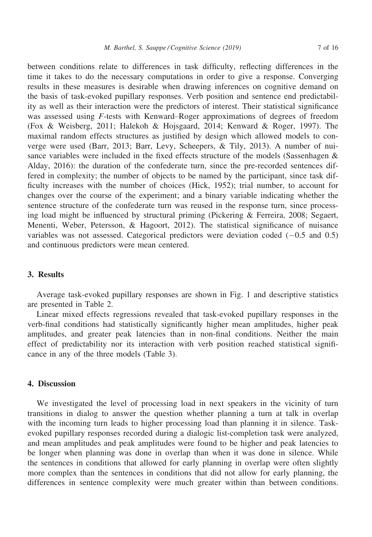between conditions relate to differences in task difficulty, reflecting differences in the time it takes to do the necessary computations in order to give a response. Converging results in these measures is desirable when drawing inferences on cognitive demand on the basis of task-evoked pupillary responses. Verb position and sentence end predictability as well as their interaction were the predictors of interest. Their statistical significance was assessed using F-tests with Kenward–Roger approximations of degrees of freedom (Fox & Weisberg, 2011; Halekoh & Hojsgaard, 2014; Kenward & Roger, 1997). The maximal random effects structures as justified by design which allowed models to converge were used (Barr, 2013; Barr, Levy, Scheepers, & Tily, 2013). A number of nuisance variables were included in the fixed effects structure of the models (Sassenhagen & Alday, 2016): the duration of the confederate turn, since the pre-recorded sentences differed in complexity; the number of objects to be named by the participant, since task difficulty increases with the number of choices (Hick, 1952); trial number, to account for changes over the course of the experiment; and a binary variable indicating whether the sentence structure of the confederate turn was reused in the response turn, since processing load might be influenced by structural priming (Pickering & Ferreira, 2008; Segaert, Menenti, Weber, Petersson, & Hagoort, 2012). The statistical significance of nuisance variables was not assessed. Categorical predictors were deviation coded  $(-0.5 \text{ and } 0.5)$ and continuous predictors were mean centered.

# 3. Results

Average task-evoked pupillary responses are shown in Fig. 1 and descriptive statistics are presented in Table 2.

Linear mixed effects regressions revealed that task-evoked pupillary responses in the verb-final conditions had statistically significantly higher mean amplitudes, higher peak amplitudes, and greater peak latencies than in non-final conditions. Neither the main effect of predictability nor its interaction with verb position reached statistical significance in any of the three models (Table 3).

#### 4. Discussion

We investigated the level of processing load in next speakers in the vicinity of turn transitions in dialog to answer the question whether planning a turn at talk in overlap with the incoming turn leads to higher processing load than planning it in silence. Taskevoked pupillary responses recorded during a dialogic list-completion task were analyzed, and mean amplitudes and peak amplitudes were found to be higher and peak latencies to be longer when planning was done in overlap than when it was done in silence. While the sentences in conditions that allowed for early planning in overlap were often slightly more complex than the sentences in conditions that did not allow for early planning, the differences in sentence complexity were much greater within than between conditions.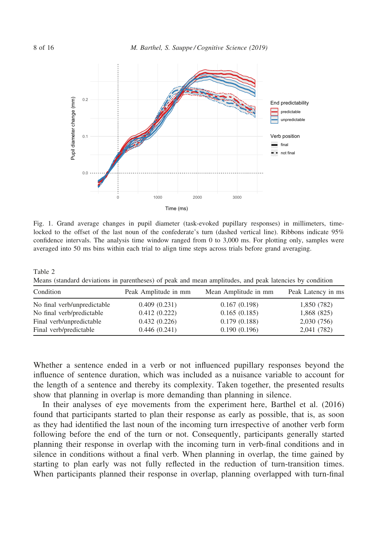

Fig. 1. Grand average changes in pupil diameter (task-evoked pupillary responses) in millimeters, timelocked to the offset of the last noun of the confederate's turn (dashed vertical line). Ribbons indicate 95% confidence intervals. The analysis time window ranged from 0 to 3,000 ms. For plotting only, samples were averaged into 50 ms bins within each trial to align time steps across trials before grand averaging.

| Table 2                                                                                                 |  |
|---------------------------------------------------------------------------------------------------------|--|
| Means (standard deviations in parentheses) of peak and mean amplitudes, and peak latencies by condition |  |

| Condition                   | Peak Amplitude in mm | Mean Amplitude in mm | Peak Latency in ms |
|-----------------------------|----------------------|----------------------|--------------------|
| No final verb/unpredictable | 0.409(0.231)         | 0.167(0.198)         | 1,850 (782)        |
| No final verb/predictable   | 0.412(0.222)         | 0.165(0.185)         | 1,868 (825)        |
| Final verb/unpredictable    | 0.432(0.226)         | 0.179(0.188)         | 2,030(756)         |
| Final verb/predictable      | 0.446(0.241)         | 0.190(0.196)         | 2,041 (782)        |

Whether a sentence ended in a verb or not influenced pupillary responses beyond the influence of sentence duration, which was included as a nuisance variable to account for the length of a sentence and thereby its complexity. Taken together, the presented results show that planning in overlap is more demanding than planning in silence.

In their analyses of eye movements from the experiment here, Barthel et al. (2016) found that participants started to plan their response as early as possible, that is, as soon as they had identified the last noun of the incoming turn irrespective of another verb form following before the end of the turn or not. Consequently, participants generally started planning their response in overlap with the incoming turn in verb-final conditions and in silence in conditions without a final verb. When planning in overlap, the time gained by starting to plan early was not fully reflected in the reduction of turn-transition times. When participants planned their response in overlap, planning overlapped with turn-final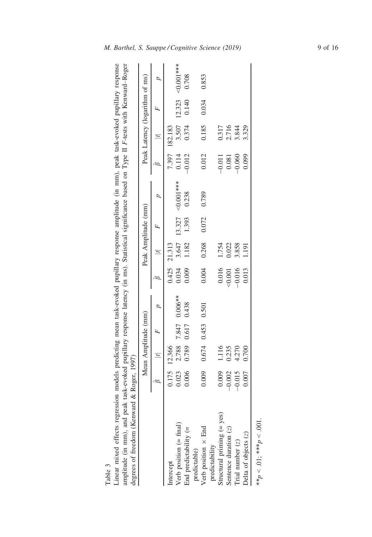Table 3

Linear mixed effects regression models predicting mean task-evoked pupillary response amplitude (in mm), peak task-evoked pupillary response<br>amplitude (in mm), and peak task-evoked pupillary response latency (in ms). Stati Linear mixed effects regression models predicting mean task-evoked pupillary response amplitude (in mm), peak task-evoked pupillary response amplitude (in mm), and peak task-evoked pupillary response latency (in ms). Statistical significance based on Type II F-tests with Kenward–Roger degrees of freedom (Kenward & Roger, 1997)

|                                                                   |                                            | Mean Amplitude (mm) |           |                                                                  |                                                                 | Peak Amplitude (mm)         |            |                                             | Peak Latency (logarithm of ms)   |                 |                  |
|-------------------------------------------------------------------|--------------------------------------------|---------------------|-----------|------------------------------------------------------------------|-----------------------------------------------------------------|-----------------------------|------------|---------------------------------------------|----------------------------------|-----------------|------------------|
|                                                                   |                                            |                     |           |                                                                  |                                                                 |                             |            |                                             |                                  | Ŀ               |                  |
| Intercept                                                         |                                            |                     |           |                                                                  | 21.313                                                          |                             |            | 7.397                                       | 182.183                          |                 |                  |
| $\sqrt{\text{erb}}$ position (= final)                            | 0.175 12.366<br>0.023 2.788<br>0.006 0.789 | 1.847 (             | $0.006**$ | $0.425$<br>0.034<br>0.009                                        |                                                                 |                             | $0.001***$ | $0.114$<br>$-0.012$                         |                                  |                 | $\leq 0.001$ *** |
| End predictability $(=$                                           | 2.788<br>0.789                             | 0.617               | 0.438     |                                                                  |                                                                 | 3.647 13.327<br>1.182 1.393 | 0.238      |                                             | $3.507$ 1<br>0.374               | 12.323<br>0.140 | 0.708            |
| predictable)                                                      |                                            |                     |           |                                                                  |                                                                 |                             |            |                                             |                                  |                 |                  |
| 0.009<br>Verb position $\times$ End                               | 0.674                                      | 0.453 0.501         |           | 0.004                                                            | 0.268                                                           | 0.072                       | 0.789      | 0.012                                       | 0.185                            | 0.034           | 0.853            |
| predictability                                                    |                                            |                     |           |                                                                  |                                                                 |                             |            |                                             |                                  |                 |                  |
| Structural priming $(= yes)$                                      |                                            |                     |           |                                                                  |                                                                 |                             |            |                                             |                                  |                 |                  |
| Sentence duration $(z)$                                           |                                            |                     |           |                                                                  |                                                                 |                             |            |                                             |                                  |                 |                  |
| $0.009$<br>$-0.002$<br>$-0.015$<br>$-0.007$<br>Trial number $(z)$ | 1.116<br>0.235<br>0.700<br>0.700           |                     |           | $\begin{array}{c} 0.016 \\ -0.001 \\ 0.016 \\ 0.013 \end{array}$ | $\begin{array}{c} 1.754 \\ 0.022 \\ 3.858 \\ 1.191 \end{array}$ |                             |            | $-0.011$<br>$0.081$<br>$-0.060$<br>$-0.060$ | 0.317<br>2.716<br>3.329<br>3.329 |                 |                  |
| Delta of objects (z)                                              |                                            |                     |           |                                                                  |                                                                 |                             |            |                                             |                                  |                 |                  |

M. Barthel, S. Sauppe/Cognitive Science (2019) 9 of 16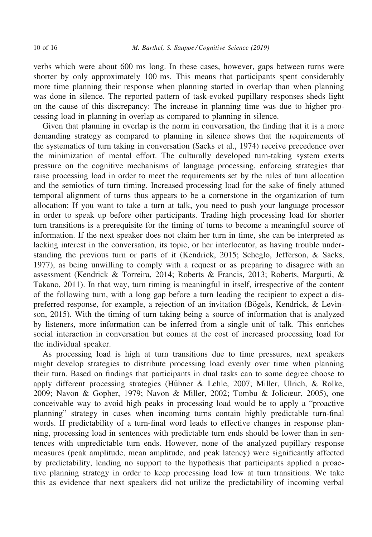verbs which were about 600 ms long. In these cases, however, gaps between turns were shorter by only approximately 100 ms. This means that participants spent considerably more time planning their response when planning started in overlap than when planning was done in silence. The reported pattern of task-evoked pupillary responses sheds light on the cause of this discrepancy: The increase in planning time was due to higher processing load in planning in overlap as compared to planning in silence.

Given that planning in overlap is the norm in conversation, the finding that it is a more demanding strategy as compared to planning in silence shows that the requirements of the systematics of turn taking in conversation (Sacks et al., 1974) receive precedence over the minimization of mental effort. The culturally developed turn-taking system exerts pressure on the cognitive mechanisms of language processing, enforcing strategies that raise processing load in order to meet the requirements set by the rules of turn allocation and the semiotics of turn timing. Increased processing load for the sake of finely attuned temporal alignment of turns thus appears to be a cornerstone in the organization of turn allocation: If you want to take a turn at talk, you need to push your language processor in order to speak up before other participants. Trading high processing load for shorter turn transitions is a prerequisite for the timing of turns to become a meaningful source of information. If the next speaker does not claim her turn in time, she can be interpreted as lacking interest in the conversation, its topic, or her interlocutor, as having trouble understanding the previous turn or parts of it (Kendrick, 2015; Scheglo, Jefferson, & Sacks, 1977), as being unwilling to comply with a request or as preparing to disagree with an assessment (Kendrick & Torreira, 2014; Roberts & Francis, 2013; Roberts, Margutti, & Takano, 2011). In that way, turn timing is meaningful in itself, irrespective of the content of the following turn, with a long gap before a turn leading the recipient to expect a dispreferred response, for example, a rejection of an invitation (Bögels, Kendrick, & Levinson, 2015). With the timing of turn taking being a source of information that is analyzed by listeners, more information can be inferred from a single unit of talk. This enriches social interaction in conversation but comes at the cost of increased processing load for the individual speaker.

As processing load is high at turn transitions due to time pressures, next speakers might develop strategies to distribute processing load evenly over time when planning their turn. Based on findings that participants in dual tasks can to some degree choose to apply different processing strategies (Hübner & Lehle, 2007; Miller, Ulrich, & Rolke, 2009; Navon & Gopher, 1979; Navon & Miller, 2002; Tombu & Jolicœur, 2005), one conceivable way to avoid high peaks in processing load would be to apply a "proactive planning" strategy in cases when incoming turns contain highly predictable turn-final words. If predictability of a turn-final word leads to effective changes in response planning, processing load in sentences with predictable turn ends should be lower than in sentences with unpredictable turn ends. However, none of the analyzed pupillary response measures (peak amplitude, mean amplitude, and peak latency) were significantly affected by predictability, lending no support to the hypothesis that participants applied a proactive planning strategy in order to keep processing load low at turn transitions. We take this as evidence that next speakers did not utilize the predictability of incoming verbal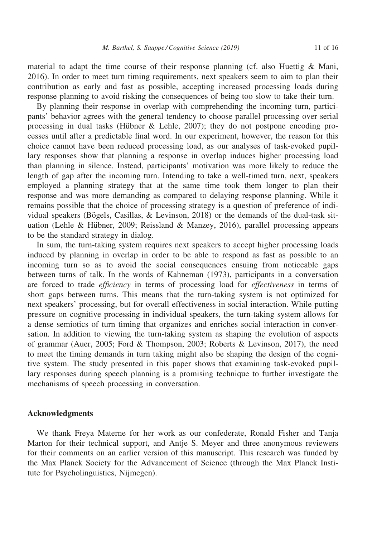material to adapt the time course of their response planning (cf. also Huettig  $\&$  Mani, 2016). In order to meet turn timing requirements, next speakers seem to aim to plan their contribution as early and fast as possible, accepting increased processing loads during response planning to avoid risking the consequences of being too slow to take their turn.

By planning their response in overlap with comprehending the incoming turn, participants' behavior agrees with the general tendency to choose parallel processing over serial processing in dual tasks (Hübner & Lehle, 2007); they do not postpone encoding processes until after a predictable final word. In our experiment, however, the reason for this choice cannot have been reduced processing load, as our analyses of task-evoked pupillary responses show that planning a response in overlap induces higher processing load than planning in silence. Instead, participants' motivation was more likely to reduce the length of gap after the incoming turn. Intending to take a well-timed turn, next, speakers employed a planning strategy that at the same time took them longer to plan their response and was more demanding as compared to delaying response planning. While it remains possible that the choice of processing strategy is a question of preference of individual speakers (Bögels, Casillas, & Levinson, 2018) or the demands of the dual-task situation (Lehle & Hübner, 2009; Reissland & Manzey, 2016), parallel processing appears to be the standard strategy in dialog.

In sum, the turn-taking system requires next speakers to accept higher processing loads induced by planning in overlap in order to be able to respond as fast as possible to an incoming turn so as to avoid the social consequences ensuing from noticeable gaps between turns of talk. In the words of Kahneman (1973), participants in a conversation are forced to trade *efficiency* in terms of processing load for *effectiveness* in terms of short gaps between turns. This means that the turn-taking system is not optimized for next speakers' processing, but for overall effectiveness in social interaction. While putting pressure on cognitive processing in individual speakers, the turn-taking system allows for a dense semiotics of turn timing that organizes and enriches social interaction in conversation. In addition to viewing the turn-taking system as shaping the evolution of aspects of grammar (Auer, 2005; Ford & Thompson, 2003; Roberts & Levinson, 2017), the need to meet the timing demands in turn taking might also be shaping the design of the cognitive system. The study presented in this paper shows that examining task-evoked pupillary responses during speech planning is a promising technique to further investigate the mechanisms of speech processing in conversation.

#### Acknowledgments

We thank Freya Materne for her work as our confederate, Ronald Fisher and Tanja Marton for their technical support, and Antje S. Meyer and three anonymous reviewers for their comments on an earlier version of this manuscript. This research was funded by the Max Planck Society for the Advancement of Science (through the Max Planck Institute for Psycholinguistics, Nijmegen).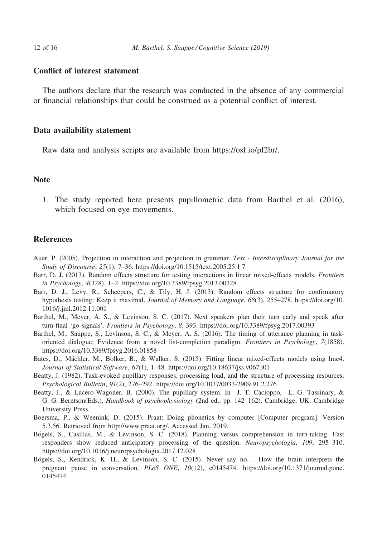# Conflict of interest statement

The authors declare that the research was conducted in the absence of any commercial or financial relationships that could be construed as a potential conflict of interest.

#### Data availability statement

Raw data and analysis scripts are available from [https://osf.io/pf2br/.](https://osf.io/pf2br/)

# **Note**

1. The study reported here presents pupillometric data from Barthel et al. (2016), which focused on eye movements.

# **References**

- Auer, P. (2005). Projection in interaction and projection in grammar. Text Interdisciplinary Journal for the Study of Discourse, 25(1), 7–36.<https://doi.org/10.1515/text.2005.25.1.7>
- Barr, D. J. (2013). Random effects structure for testing interactions in linear mixed-effects models. Frontiers in Psychology, 4(328), 1–2.<https://doi.org/10.3389/fpsyg.2013.00328>
- Barr, D. J., Levy, R., Scheepers, C., & Tily, H. J. (2013). Random effects structure for confirmatory hypothesis testing: Keep it maximal. Journal of Memory and Language, 68(3), 255–278. [https://doi.org/10.](https://doi.org/10.1016/j.jml.2012.11.001) [1016/j.jml.2012.11.001](https://doi.org/10.1016/j.jml.2012.11.001)
- Barthel, M., Meyer, A. S., & Levinson, S. C. (2017). Next speakers plan their turn early and speak after turn-final 'go-signals'. Frontiers in Psychology, 8, 393.<https://doi.org/10.3389/fpsyg.2017.00393>
- Barthel, M., Sauppe, S., Levinson, S. C., & Meyer, A. S. (2016). The timing of utterance planning in taskoriented dialogue: Evidence from a novel list-completion paradigm. Frontiers in Psychology, 7(1858). <https://doi.org/10.3389/fpsyg.2016.01858>
- Bates, D., Mächler, M., Bolker, B., & Walker, S. (2015). Fitting linear mixed-effects models using lme4. Journal of Statistical Software, 67(1), 1–48.<https://doi.org/10.18637/jss.v067.i01>
- Beatty, J. (1982). Task-evoked pupillary responses, processing load, and the structure of processing resources. Psychological Bulletin, 91(2), 276–292.<https://doi.org/10.1037/0033-2909.91.2.276>
- Beatty, J., & Lucero-Wagoner, B. (2000). The pupillary system. In J. T. Cacioppo, L. G. Tassinary, & G. G. Berntson(Eds.), Handbook of psychophysiology (2nd ed., pp. 142–162). Cambridge, UK: Cambridge University Press.
- Boersma, P., & Weenink, D. (2015). Praat: Doing phonetics by computer [Computer program]. Version 5.3.56. Retrieved from<http://www.praat.org/>. Accessed Jan, 2019.
- Bögels, S., Casillas, M., & Levinson, S. C. (2018). Planning versus comprehension in turn-taking: Fast responders show reduced anticipatory processing of the question. Neuropsychologia, 109, 295–310. <https://doi.org/10.1016/j.neuropsychologia.2017.12.028>
- Bögels, S., Kendrick, K. H., & Levinson, S. C. (2015). Never say no... How the brain interprets the pregnant pause in conversation. PLoS ONE, 10(12), e0145474. [https://doi.org/10.1371/journal.pone.](https://doi.org/10.1371/journal.pone.0145474) [0145474](https://doi.org/10.1371/journal.pone.0145474)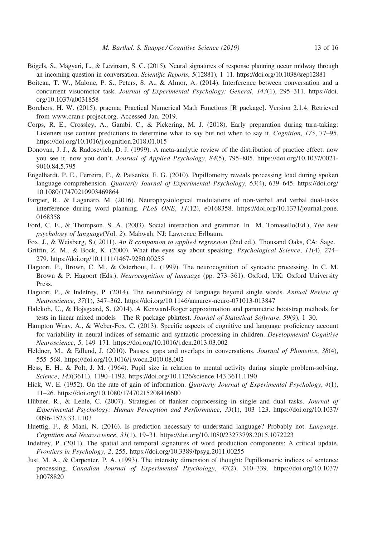- Bögels, S., Magyari, L., & Levinson, S. C. (2015). Neural signatures of response planning occur midway through an incoming question in conversation. Scientific Reports, 5(12881), 1–11.<https://doi.org/10.1038/srep12881>
- Boiteau, T. W., Malone, P. S., Peters, S. A., & Almor, A. (2014). Interference between conversation and a concurrent visuomotor task. Journal of Experimental Psychology: General, 143(1), 295-311. [https://doi.](https://doi.org/10.1037/a0031858) [org/10.1037/a0031858](https://doi.org/10.1037/a0031858)
- Borchers, H. W. (2015). pracma: Practical Numerical Math Functions [R package]. Version 2.1.4. Retrieved from [www.cran.r-project.org](http://www.cran.r-project.org). Accessed Jan, 2019.
- Corps, R. E., Crossley, A., Gambi, C., & Pickering, M. J. (2018). Early preparation during turn-taking: Listeners use content predictions to determine what to say but not when to say it. Cognition, 175, 77–95. <https://doi.org/10.1016/j.cognition.2018.01.015>
- Donovan, J. J., & Radosevich, D. J. (1999). A meta-analytic review of the distribution of practice effect: now you see it, now you don't. Journal of Applied Psychology, 84(5), 795–805. [https://doi.org/10.1037/0021-](https://doi.org/10.1037/0021-9010.84.5.795) [9010.84.5.795](https://doi.org/10.1037/0021-9010.84.5.795)
- Engelhardt, P. E., Ferreira, F., & Patsenko, E. G. (2010). Pupillometry reveals processing load during spoken language comprehension. Quarterly Journal of Experimental Psychology, 63(4), 639-645. [https://doi.org/](https://doi.org/10.1080/17470210903469864) [10.1080/17470210903469864](https://doi.org/10.1080/17470210903469864)
- Fargier, R., & Laganaro, M. (2016). Neurophysiological modulations of non-verbal and verbal dual-tasks interference during word planning. PLoS ONE, 11(12), e0168358. [https://doi.org/10.1371/journal.pone.](https://doi.org/10.1371/journal.pone.0168358) [0168358](https://doi.org/10.1371/journal.pone.0168358)
- Ford, C. E., & Thompson, S. A. (2003). Social interaction and grammar. In M. Tomasello(Ed.), The new psychology of language(Vol. 2). Mahwah, NJ: Lawrence Erlbaum.
- Fox, J., & Weisberg, S.( 2011). An R companion to applied regression (2nd ed.). Thousand Oaks, CA: Sage.
- Griffin, Z. M., & Bock, K. (2000). What the eyes say about speaking. *Psychological Science*, 11(4), 274– 279.<https://doi.org/10.1111/1467-9280.00255>
- Hagoort, P., Brown, C. M., & Osterhout, L. (1999). The neurocognition of syntactic processing. In C. M. Brown & P. Hagoort (Eds.), Neurocognition of language (pp. 273–361). Oxford, UK: Oxford University Press.
- Hagoort, P., & Indefrey, P. (2014). The neurobiology of language beyond single words. Annual Review of Neuroscience, 37(1), 347–362.<https://doi.org/10.1146/annurev-neuro-071013-013847>
- Halekoh, U., & Hojsgaard, S. (2014). A Kenward-Roger approximation and parametric bootstrap methods for tests in linear mixed models—The R package pbkrtest. Journal of Statistical Software, 59(9), 1–30.
- Hampton Wray, A., & Weber-Fox, C. (2013). Specific aspects of cognitive and language proficiency account for variability in neural indices of semantic and syntactic processing in children. Developmental Cognitive Neuroscience, 5, 149–171.<https://doi.org/10.1016/j.dcn.2013.03.002>
- Heldner, M., & Edlund, J. (2010). Pauses, gaps and overlaps in conversations. Journal of Phonetics, 38(4), 555–568.<https://doi.org/10.1016/j.wocn.2010.08.002>
- Hess, E. H., & Polt, J. M. (1964). Pupil size in relation to mental activity during simple problem-solving. Science, 143(3611), 1190–1192.<https://doi.org/10.1126/science.143.3611.1190>
- Hick, W. E. (1952). On the rate of gain of information. Quarterly Journal of Experimental Psychology, 4(1), 11–26.<https://doi.org/10.1080/17470215208416600>
- Hübner, R., & Lehle, C. (2007). Strategies of flanker coprocessing in single and dual tasks. Journal of Experimental Psychology: Human Perception and Performance, 33(1), 103–123. [https://doi.org/10.1037/](https://doi.org/10.1037/0096-1523.33.1.103) [0096-1523.33.1.103](https://doi.org/10.1037/0096-1523.33.1.103)
- Huettig, F., & Mani, N. (2016). Is prediction necessary to understand language? Probably not. Language, Cognition and Neuroscience, 31(1), 19–31.<https://doi.org/10.1080/23273798.2015.1072223>
- Indefrey, P. (2011). The spatial and temporal signatures of word production components: A critical update. Frontiers in Psychology, 2, 255.<https://doi.org/10.3389/fpsyg.2011.00255>
- Just, M. A., & Carpenter, P. A. (1993). The intensity dimension of thought: Pupillometric indices of sentence processing. Canadian Journal of Experimental Psychology, 47(2), 310–339. [https://doi.org/10.1037/](https://doi.org/10.1037/h0078820) [h0078820](https://doi.org/10.1037/h0078820)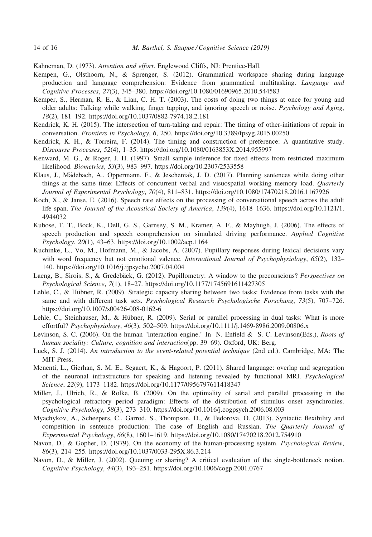Kahneman, D. (1973). Attention and effort. Englewood Cliffs, NJ: Prentice-Hall.

- Kempen, G., Olsthoorn, N., & Sprenger, S. (2012). Grammatical workspace sharing during language production and language comprehension: Evidence from grammatical multitasking. Language and Cognitive Processes, 27(3), 345–380.<https://doi.org/10.1080/01690965.2010.544583>
- Kemper, S., Herman, R. E., & Lian, C. H. T. (2003). The costs of doing two things at once for young and older adults: Talking while walking, finger tapping, and ignoring speech or noise. Psychology and Aging, 18(2), 181–192.<https://doi.org/10.1037/0882-7974.18.2.181>
- Kendrick, K. H. (2015). The intersection of turn-taking and repair: The timing of other-initiations of repair in conversation. Frontiers in Psychology, 6, 250.<https://doi.org/10.3389/fpsyg.2015.00250>
- Kendrick, K. H., & Torreira, F. (2014). The timing and construction of preference: A quantitative study. Discourse Processes, 52(4), 1–35.<https://doi.org/10.1080/0163853X.2014.955997>
- Kenward, M. G., & Roger, J. H. (1997). Small sample inference for fixed effects from restricted maximum likelihood. Biometrics, 53(3), 983–997.<https://doi.org/10.2307/2533558>
- Klaus, J., Mädebach, A., Oppermann, F., & Jescheniak, J. D. (2017). Planning sentences while doing other things at the same time: Effects of concurrent verbal and visuospatial working memory load. Quarterly Journal of Experimental Psychology, 70(4), 811–831.<https://doi.org/10.1080/17470218.2016.1167926>
- Koch, X., & Janse, E. (2016). Speech rate effects on the processing of conversational speech across the adult life span. The Journal of the Acoustical Society of America, 139(4), 1618–1636. [https://doi.org/10.1121/1.](https://doi.org/10.1121/1.4944032) [4944032](https://doi.org/10.1121/1.4944032)
- Kubose, T. T., Bock, K., Dell, G. S., Garnsey, S. M., Kramer, A. F., & Mayhugh, J. (2006). The effects of speech production and speech comprehension on simulated driving performance. Applied Cognitive Psychology, 20(1), 43–63.<https://doi.org/10.1002/acp.1164>
- Kuchinke, L., Vo, M., Hofmann, M., & Jacobs, A. (2007). Pupillary responses during lexical decisions vary with word frequency but not emotional valence. International Journal of Psychophysiology, 65(2), 132– 140.<https://doi.org/10.1016/j.ijpsycho.2007.04.004>
- Laeng, B., Sirois, S., & Gredebäck, G. (2012). Pupillometry: A window to the preconscious? Perspectives on Psychological Science, 7(1), 18–27.<https://doi.org/10.1177/1745691611427305>
- Lehle, C., & Hübner, R. (2009). Strategic capacity sharing between two tasks: Evidence from tasks with the same and with different task sets. Psychological Research Psychologische Forschung, 73(5), 707–726. <https://doi.org/10.1007/s00426-008-0162-6>
- Lehle, C., Steinhauser, M., & Hübner, R. (2009). Serial or parallel processing in dual tasks: What is more effortful? Psychophysiology, 46(3), 502–509.<https://doi.org/10.1111/j.1469-8986.2009.00806.x>
- Levinson, S. C. (2006). On the human "interaction engine." In N. Enfield & S. C. Levinson(Eds.), Roots of human sociality: Culture, cognition and interaction(pp. 39–69). Oxford, UK: Berg.
- Luck, S. J. (2014). An introduction to the event-related potential technique (2nd ed.). Cambridge, MA: The MIT Press.
- Menenti, L., Gierhan, S. M. E., Segaert, K., & Hagoort, P. (2011). Shared language: overlap and segregation of the neuronal infrastructure for speaking and listening revealed by functional MRI. Psychological Science, 22(9), 1173–1182.<https://doi.org/10.1177/0956797611418347>
- Miller, J., Ulrich, R., & Rolke, B. (2009). On the optimality of serial and parallel processing in the psychological refractory period paradigm: Effects of the distribution of stimulus onset asynchronies. Cognitive Psychology, 58(3), 273–310.<https://doi.org/10.1016/j.cogpsych.2006.08.003>
- Myachykov, A., Scheepers, C., Garrod, S., Thompson, D., & Fedorova, O. (2013). Syntactic flexibility and competition in sentence production: The case of English and Russian. The Quarterly Journal of Experimental Psychology, 66(8), 1601–1619.<https://doi.org/10.1080/17470218.2012.754910>
- Navon, D., & Gopher, D. (1979). On the economy of the human-processing system. *Psychological Review*, 86(3), 214–255.<https://doi.org/10.1037/0033-295X.86.3.214>
- Navon, D., & Miller, J. (2002). Queuing or sharing? A critical evaluation of the single-bottleneck notion. Cognitive Psychology, 44(3), 193–251.<https://doi.org/10.1006/cogp.2001.0767>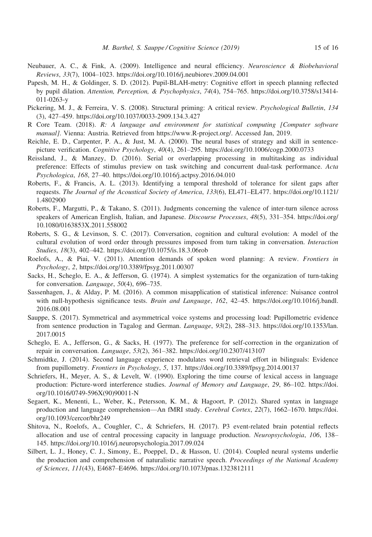- Neubauer, A. C., & Fink, A. (2009). Intelligence and neural efficiency. Neuroscience & Biobehavioral Reviews, 33(7), 1004–1023.<https://doi.org/10.1016/j.neubiorev.2009.04.001>
- Papesh, M. H., & Goldinger, S. D. (2012). Pupil-BLAH-metry: Cognitive effort in speech planning reflected by pupil dilation. Attention, Perception, & Psychophysics, 74(4), 754–765. [https://doi.org/10.3758/s13414-](https://doi.org/10.3758/s13414-011-0263-y) [011-0263-y](https://doi.org/10.3758/s13414-011-0263-y)
- Pickering, M. J., & Ferreira, V. S. (2008). Structural priming: A critical review. Psychological Bulletin, 134 (3), 427–459.<https://doi.org/10.1037/0033-2909.134.3.427>
- R Core Team. (2018). R: A language and environment for statistical computing [Computer software manual]. Vienna: Austria. Retrieved from [https://www.R-project.org/.](https://www.R-project.org/) Accessed Jan, 2019.
- Reichle, E. D., Carpenter, P. A., & Just, M. A. (2000). The neural bases of strategy and skill in sentencepicture verification. Cognitive Psychology, 40(4), 261–295.<https://doi.org/10.1006/cogp.2000.0733>
- Reissland, J., & Manzey, D. (2016). Serial or overlapping processing in multitasking as individual preference: Effects of stimulus preview on task switching and concurrent dual-task performance. Acta Psychologica, 168, 27–40.<https://doi.org/10.1016/j.actpsy.2016.04.010>
- Roberts, F., & Francis, A. L. (2013). Identifying a temporal threshold of tolerance for silent gaps after requests. The Journal of the Acoustical Society of America, 133(6), EL471–EL477. [https://doi.org/10.1121/](https://doi.org/10.1121/1.4802900) [1.4802900](https://doi.org/10.1121/1.4802900)
- Roberts, F., Margutti, P., & Takano, S. (2011). Judgments concerning the valence of inter-turn silence across speakers of American English, Italian, and Japanese. *Discourse Processes*, 48(5), 331–354. [https://doi.org/](https://doi.org/10.1080/0163853X.2011.558002) [10.1080/0163853X.2011.558002](https://doi.org/10.1080/0163853X.2011.558002)
- Roberts, S. G., & Levinson, S. C. (2017). Conversation, cognition and cultural evolution: A model of the cultural evolution of word order through pressures imposed from turn taking in conversation. Interaction Studies, 18(3), 402–442.<https://doi.org/10.1075/is.18.3.06rob>
- Roelofs, A., & Piai, V. (2011). Attention demands of spoken word planning: A review. Frontiers in Psychology, 2,<https://doi.org/10.3389/fpsyg.2011.00307>
- Sacks, H., Scheglo, E. A., & Jefferson, G. (1974). A simplest systematics for the organization of turn-taking for conversation. *Language*, 50(4), 696–735.
- Sassenhagen, J., & Alday, P. M. (2016). A common misapplication of statistical inference: Nuisance control with null-hypothesis significance tests. Brain and Language, 162, 42–45. [https://doi.org/10.1016/j.bandl.](https://doi.org/10.1016/j.bandl.2016.08.001) [2016.08.001](https://doi.org/10.1016/j.bandl.2016.08.001)
- Sauppe, S. (2017). Symmetrical and asymmetrical voice systems and processing load: Pupillometric evidence from sentence production in Tagalog and German. Language, 93(2), 288–313. [https://doi.org/10.1353/lan.](https://doi.org/10.1353/lan.2017.0015) [2017.0015](https://doi.org/10.1353/lan.2017.0015)
- Scheglo, E. A., Jefferson, G., & Sacks, H. (1977). The preference for self-correction in the organization of repair in conversation. Language, 53(2), 361–382.<https://doi.org/10.2307/413107>
- Schmidtke, J. (2014). Second language experience modulates word retrieval effort in bilinguals: Evidence from pupillometry. Frontiers in Psychology, 5, 137.<https://doi.org/10.3389/fpsyg.2014.00137>
- Schriefers, H., Meyer, A. S., & Levelt, W. (1990). Exploring the time course of lexical access in language production: Picture-word interference studies. Journal of Memory and Language, 29, 86–102. [https://doi.](https://doi.org/10.1016/0749-596X(90)90011-N) [org/10.1016/0749-596X\(90\)90011-N](https://doi.org/10.1016/0749-596X(90)90011-N)
- Segaert, K., Menenti, L., Weber, K., Petersson, K. M., & Hagoort, P. (2012). Shared syntax in language production and language comprehension—An fMRI study. Cerebral Cortex, 22(7), 1662–1670. [https://doi.](https://doi.org/10.1093/cercor/bhr249) [org/10.1093/cercor/bhr249](https://doi.org/10.1093/cercor/bhr249)
- Shitova, N., Roelofs, A., Coughler, C., & Schriefers, H. (2017). P3 event-related brain potential reflects allocation and use of central processing capacity in language production. Neuropsychologia, 106, 138– 145.<https://doi.org/10.1016/j.neuropsychologia.2017.09.024>
- Silbert, L. J., Honey, C. J., Simony, E., Poeppel, D., & Hasson, U. (2014). Coupled neural systems underlie the production and comprehension of naturalistic narrative speech. Proceedings of the National Academy of Sciences, 111(43), E4687–E4696.<https://doi.org/10.1073/pnas.1323812111>